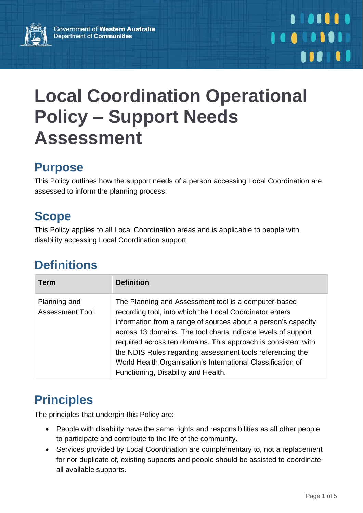

# **Local Coordination Operational Policy – Support Needs Assessment**

#### **Purpose**

This Policy outlines how the support needs of a person accessing Local Coordination are assessed to inform the planning process.

# **Scope**

This Policy applies to all Local Coordination areas and is applicable to people with disability accessing Local Coordination support.

# **Definitions**

| <b>Term</b>                            | <b>Definition</b>                                                                                                                                                                                                                                                                                                                                                                                                                                                                     |
|----------------------------------------|---------------------------------------------------------------------------------------------------------------------------------------------------------------------------------------------------------------------------------------------------------------------------------------------------------------------------------------------------------------------------------------------------------------------------------------------------------------------------------------|
| Planning and<br><b>Assessment Tool</b> | The Planning and Assessment tool is a computer-based<br>recording tool, into which the Local Coordinator enters<br>information from a range of sources about a person's capacity<br>across 13 domains. The tool charts indicate levels of support<br>required across ten domains. This approach is consistent with<br>the NDIS Rules regarding assessment tools referencing the<br>World Health Organisation's International Classification of<br>Functioning, Disability and Health. |

# **Principles**

The principles that underpin this Policy are:

- People with disability have the same rights and responsibilities as all other people to participate and contribute to the life of the community.
- Services provided by Local Coordination are complementary to, not a replacement for nor duplicate of, existing supports and people should be assisted to coordinate all available supports.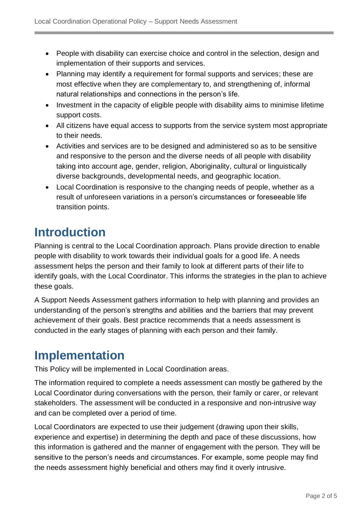- People with disability can exercise choice and control in the selection, design and implementation of their supports and services.
- Planning may identify a requirement for formal supports and services; these are most effective when they are complementary to, and strengthening of, informal natural relationships and connections in the person's life.
- Investment in the capacity of eligible people with disability aims to minimise lifetime support costs.
- All citizens have equal access to supports from the service system most appropriate to their needs.
- Activities and services are to be designed and administered so as to be sensitive and responsive to the person and the diverse needs of all people with disability taking into account age, gender, religion, Aboriginality, cultural or linguistically diverse backgrounds, developmental needs, and geographic location.
- Local Coordination is responsive to the changing needs of people, whether as a result of unforeseen variations in a person's circumstances or foreseeable life transition points.

## **Introduction**

Planning is central to the Local Coordination approach. Plans provide direction to enable people with disability to work towards their individual goals for a good life. A needs assessment helps the person and their family to look at different parts of their life to identify goals, with the Local Coordinator. This informs the strategies in the plan to achieve these goals.

A Support Needs Assessment gathers information to help with planning and provides an understanding of the person's strengths and abilities and the barriers that may prevent achievement of their goals. Best practice recommends that a needs assessment is conducted in the early stages of planning with each person and their family.

### **Implementation**

This Policy will be implemented in Local Coordination areas.

The information required to complete a needs assessment can mostly be gathered by the Local Coordinator during conversations with the person, their family or carer, or relevant stakeholders. The assessment will be conducted in a responsive and non-intrusive way and can be completed over a period of time.

Local Coordinators are expected to use their judgement (drawing upon their skills, experience and expertise) in determining the depth and pace of these discussions, how this information is gathered and the manner of engagement with the person. They will be sensitive to the person's needs and circumstances. For example, some people may find the needs assessment highly beneficial and others may find it overly intrusive.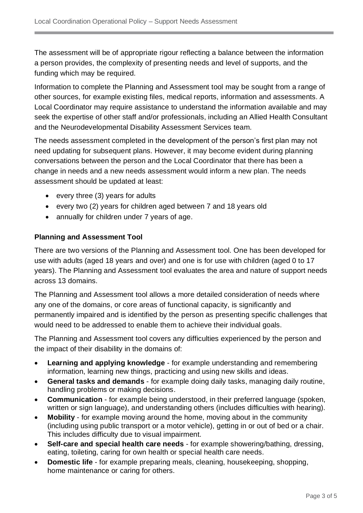The assessment will be of appropriate rigour reflecting a balance between the information a person provides, the complexity of presenting needs and level of supports, and the funding which may be required.

Information to complete the Planning and Assessment tool may be sought from a range of other sources, for example existing files, medical reports, information and assessments. A Local Coordinator may require assistance to understand the information available and may seek the expertise of other staff and/or professionals, including an Allied Health Consultant and the Neurodevelopmental Disability Assessment Services team.

The needs assessment completed in the development of the person's first plan may not need updating for subsequent plans. However, it may become evident during planning conversations between the person and the Local Coordinator that there has been a change in needs and a new needs assessment would inform a new plan. The needs assessment should be updated at least:

- every three (3) years for adults
- every two (2) years for children aged between 7 and 18 years old
- annually for children under 7 years of age.

#### **Planning and Assessment Tool**

There are two versions of the Planning and Assessment tool. One has been developed for use with adults (aged 18 years and over) and one is for use with children (aged 0 to 17 years). The Planning and Assessment tool evaluates the area and nature of support needs across 13 domains.

The Planning and Assessment tool allows a more detailed consideration of needs where any one of the domains, or core areas of functional capacity, is significantly and permanently impaired and is identified by the person as presenting specific challenges that would need to be addressed to enable them to achieve their individual goals.

The Planning and Assessment tool covers any difficulties experienced by the person and the impact of their disability in the domains of:

- **Learning and applying knowledge** for example understanding and remembering information, learning new things, practicing and using new skills and ideas.
- **General tasks and demands** for example doing daily tasks, managing daily routine, handling problems or making decisions.
- **Communication** for example being understood, in their preferred language (spoken, written or sign language), and understanding others (includes difficulties with hearing).
- **Mobility** for example moving around the home, moving about in the community (including using public transport or a motor vehicle), getting in or out of bed or a chair. This includes difficulty due to visual impairment.
- **Self-care and special health care needs** for example showering/bathing, dressing, eating, toileting, caring for own health or special health care needs.
- **Domestic life** for example preparing meals, cleaning, housekeeping, shopping, home maintenance or caring for others.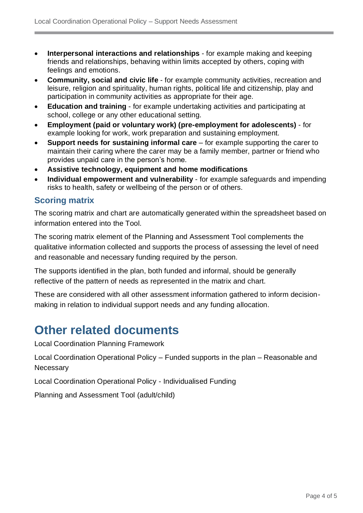- **Interpersonal interactions and relationships** for example making and keeping friends and relationships, behaving within limits accepted by others, coping with feelings and emotions.
- **Community, social and civic life** for example community activities, recreation and leisure, religion and spirituality, human rights, political life and citizenship, play and participation in community activities as appropriate for their age.
- **Education and training** for example undertaking activities and participating at school, college or any other educational setting.
- **Employment (paid or voluntary work) (pre-employment for adolescents)** for example looking for work, work preparation and sustaining employment.
- **Support needs for sustaining informal care** for example supporting the carer to maintain their caring where the carer may be a family member, partner or friend who provides unpaid care in the person's home.
- **Assistive technology, equipment and home modifications**
- **Individual empowerment and vulnerability** for example safeguards and impending risks to health, safety or wellbeing of the person or of others.

#### **Scoring matrix**

The scoring matrix and chart are automatically generated within the spreadsheet based on information entered into the Tool.

The scoring matrix element of the Planning and Assessment Tool complements the qualitative information collected and supports the process of assessing the level of need and reasonable and necessary funding required by the person.

The supports identified in the plan, both funded and informal, should be generally reflective of the pattern of needs as represented in the matrix and chart.

These are considered with all other assessment information gathered to inform decisionmaking in relation to individual support needs and any funding allocation.

#### **Other related documents**

Local Coordination Planning Framework

Local Coordination Operational Policy – Funded supports in the plan – Reasonable and **Necessary** 

Local Coordination Operational Policy - Individualised Funding

Planning and Assessment Tool (adult/child)